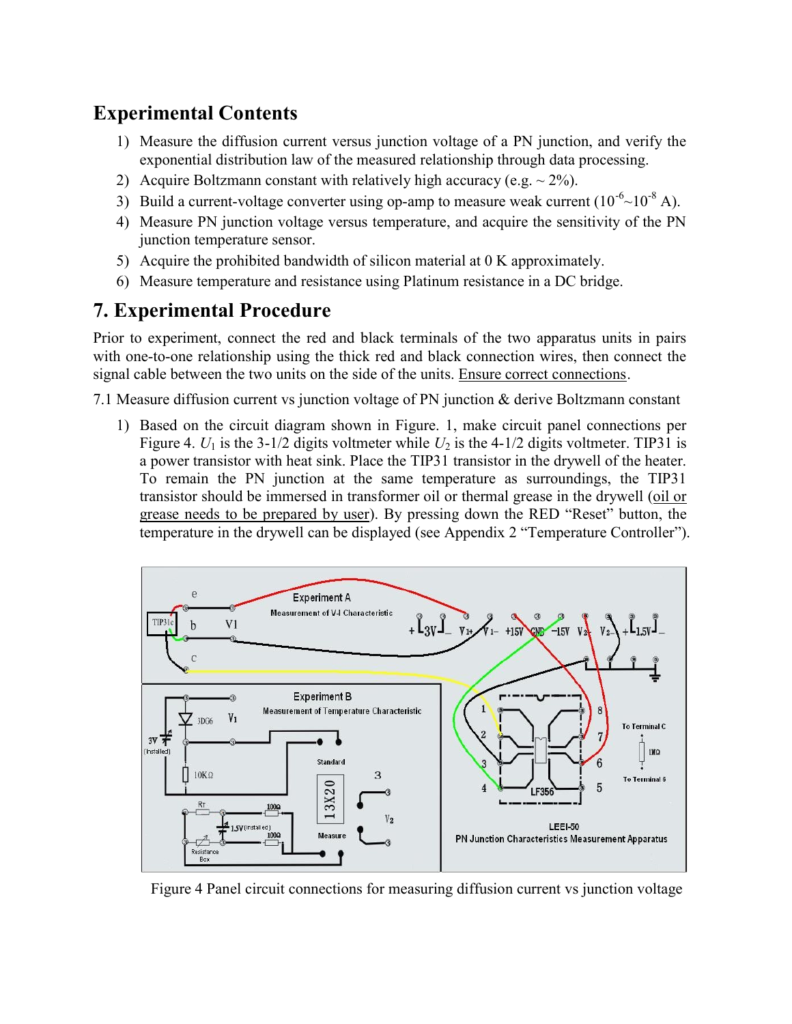## Experimental Contents

- 1) Measure the diffusion current versus junction voltage of a PN junction, and verify the exponential distribution law of the measured relationship through data processing.
- 2) Acquire Boltzmann constant with relatively high accuracy (e.g.  $\sim$  2%).
- 3) Build a current-voltage converter using op-amp to measure weak current  $(10^{-6}$  ~  $10^{-8}$  A).
- 4) Measure PN junction voltage versus temperature, and acquire the sensitivity of the PN junction temperature sensor.
- 5) Acquire the prohibited bandwidth of silicon material at 0 K approximately.
- 6) Measure temperature and resistance using Platinum resistance in a DC bridge.

## 7. Experimental Procedure

Prior to experiment, connect the red and black terminals of the two apparatus units in pairs with one-to-one relationship using the thick red and black connection wires, then connect the signal cable between the two units on the side of the units. Ensure correct connections.

7.1 Measure diffusion current vs junction voltage of PN junction & derive Boltzmann constant

1) Based on the circuit diagram shown in Figure. 1, make circuit panel connections per Figure 4.  $U_1$  is the 3-1/2 digits voltmeter while  $U_2$  is the 4-1/2 digits voltmeter. TIP31 is a power transistor with heat sink. Place the TIP31 transistor in the drywell of the heater. To remain the PN junction at the same temperature as surroundings, the TIP31 transistor should be immersed in transformer oil or thermal grease in the drywell (oil or grease needs to be prepared by user). By pressing down the RED "Reset" button, the temperature in the drywell can be displayed (see Appendix 2 "Temperature Controller").



Figure 4 Panel circuit connections for measuring diffusion current vs junction voltage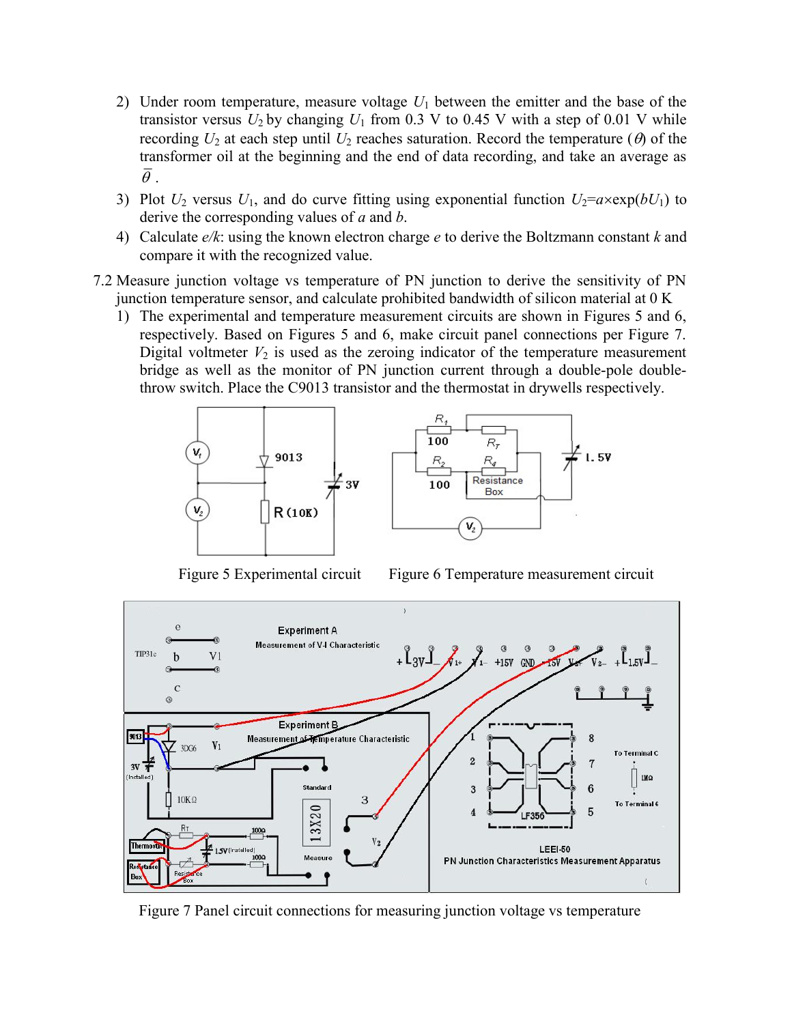- 2) Under room temperature, measure voltage  $U_1$  between the emitter and the base of the transistor versus  $U_2$  by changing  $U_1$  from 0.3 V to 0.45 V with a step of 0.01 V while recording  $U_2$  at each step until  $U_2$  reaches saturation. Record the temperature ( $\theta$ ) of the transformer oil at the beginning and the end of data recording, and take an average as  $\bar{\theta}$ .
- 3) Plot  $U_2$  versus  $U_1$ , and do curve fitting using exponential function  $U_2 = a \times \exp(bU_1)$  to derive the corresponding values of  $a$  and  $b$ .
- 4) Calculate  $e/k$ : using the known electron charge  $e$  to derive the Boltzmann constant k and compare it with the recognized value.
- 7.2 Measure junction voltage vs temperature of PN junction to derive the sensitivity of PN junction temperature sensor, and calculate prohibited bandwidth of silicon material at 0 K
	- 1) The experimental and temperature measurement circuits are shown in Figures 5 and 6, respectively. Based on Figures 5 and 6, make circuit panel connections per Figure 7. Digital voltmeter  $V_2$  is used as the zeroing indicator of the temperature measurement bridge as well as the monitor of PN junction current through a double-pole doublethrow switch. Place the C9013 transistor and the thermostat in drywells respectively.





Figure 5 Experimental circuit Figure 6 Temperature measurement circuit



Figure 7 Panel circuit connections for measuring junction voltage vs temperature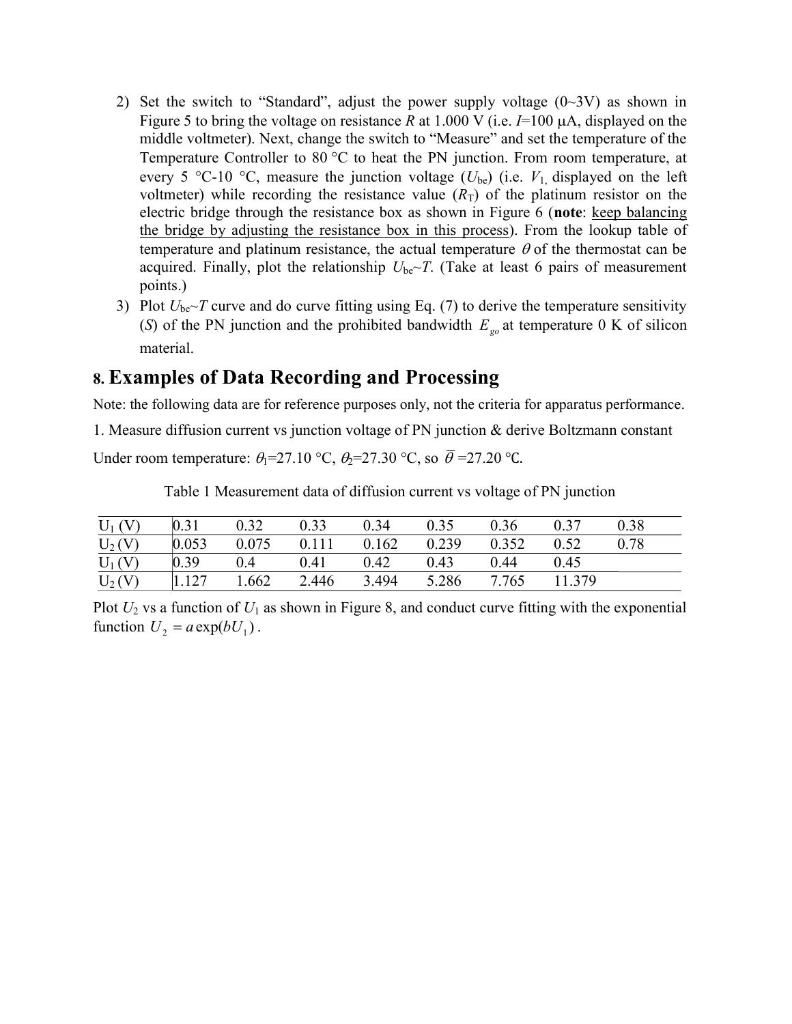- 2) Set the switch to "Standard", adjust the power supply voltage  $(0\sim 3V)$  as shown in Figure 5 to bring the voltage on resistance R at 1.000 V (i.e.  $I=100 \mu A$ , displayed on the middle voltmeter). Next, change the switch to "Measure" and set the temperature of the Temperature Controller to 80  $^{\circ}$ C to heat the PN junction. From room temperature, at every 5 °C-10 °C, measure the junction voltage  $(U_{be})$  (i.e.  $V_1$  displayed on the left voltmeter) while recording the resistance value  $(R_T)$  of the platinum resistor on the electric bridge through the resistance box as shown in Figure 6 (note: keep balancing the bridge by adjusting the resistance box in this process). From the lookup table of temperature and platinum resistance, the actual temperature  $\theta$  of the thermostat can be acquired. Finally, plot the relationship  $U_{\text{be}}\sim T$ . (Take at least 6 pairs of measurement points.)
- 3) Plot  $U_{\text{be}}$ -T curve and do curve fitting using Eq. (7) to derive the temperature sensitivity (S) of the PN junction and the prohibited bandwidth  $E_{\rho_0}$  at temperature 0 K of silicon material.

## 8. Examples of Data Recording and Processing

Note: the following data are for reference purposes only, not the criteria for apparatus performance.

1. Measure diffusion current vs junction voltage of PN junction & derive Boltzmann constant

Under room temperature:  $\theta_1$ =27.10 °C,  $\theta_2$ =27.30 °C, so  $\bar{\theta}$  =27.20 °C.

Table 1 Measurement data of diffusion current vs voltage of PN junction

| $U_1(V)$ | 0.31   | 0.32  | 0.33  | 0.34  | 0.35  | 0.36  | 0.37   | 0.38 |
|----------|--------|-------|-------|-------|-------|-------|--------|------|
| $U_2(V)$ | 0.053  | 0.075 | 0.111 | 0.162 | 0.239 | 0.352 | 0.52   | 0.78 |
| $U_1(V)$ | 0.39   | 0.4   | 0.41  | 0.42  | 0.43  | 0.44  | 0.45   |      |
| $U_2(V)$ | 11.127 | 1.662 | 2.446 | 3.494 | 5.286 | 7.765 | 11.379 |      |

Plot  $U_2$  vs a function of  $U_1$  as shown in Figure 8, and conduct curve fitting with the exponential function  $U_2 = a \exp(bU_1)$ .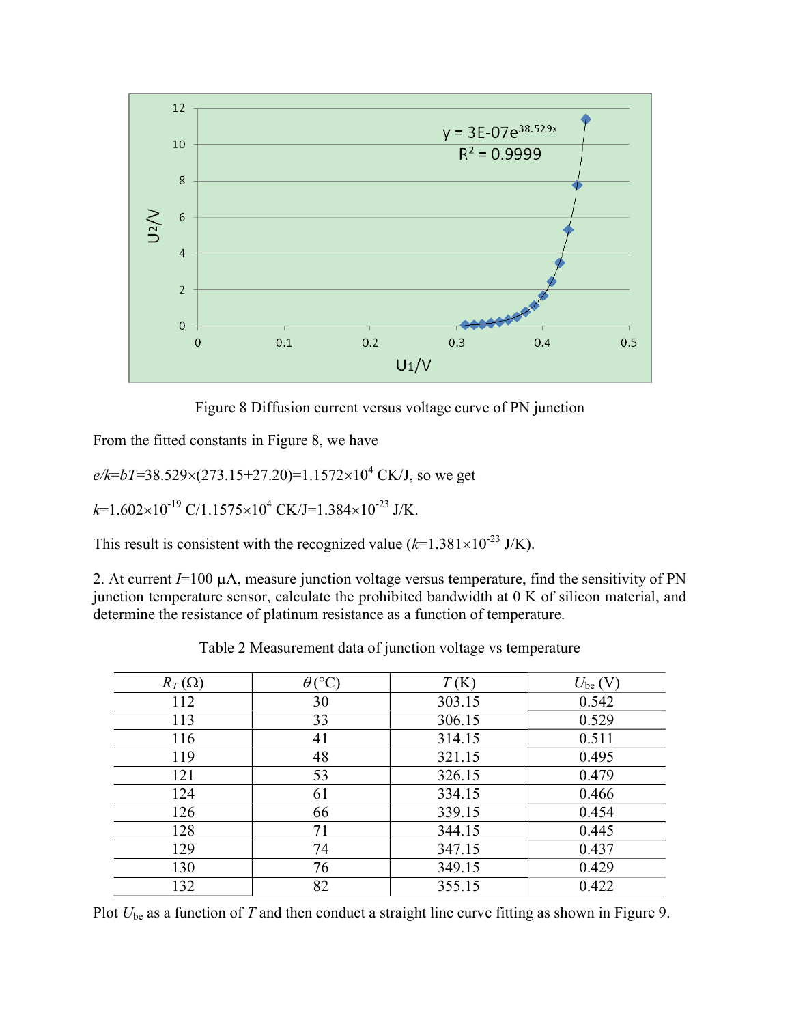

Figure 8 Diffusion current versus voltage curve of PN junction

From the fitted constants in Figure 8, we have

 $e/k = bT = 38.529 \times (273.15 + 27.20) = 1.1572 \times 10^4$  CK/J, so we get

 $k=1.602\times10^{-19}$  C/1.1575×10<sup>4</sup> CK/J=1.384×10<sup>-23</sup> J/K.

This result is consistent with the recognized value ( $k=1.381\times10^{-23}$  J/K).

2. At current  $I=100 \mu A$ , measure junction voltage versus temperature, find the sensitivity of PN junction temperature sensor, calculate the prohibited bandwidth at 0 K of silicon material, and determine the resistance of platinum resistance as a function of temperature.

| $R_T(\Omega)$ | $\theta$ (°C) | T(K)   | $U_{\text{be}}(V)$ |
|---------------|---------------|--------|--------------------|
| 112           | 30            | 303.15 | 0.542              |
| 113           | 33            | 306.15 | 0.529              |
| 116           | 41            | 314.15 | 0.511              |
| 119           | 48            | 321.15 | 0.495              |
| 121           | 53            | 326.15 | 0.479              |
| 124           | 61            | 334.15 | 0.466              |
| 126           | 66            | 339.15 | 0.454              |
| 128           | 71            | 344.15 | 0.445              |
| 129           | 74            | 347.15 | 0.437              |
| 130           | 76            | 349.15 | 0.429              |
| 132           | 82            | 355.15 | 0.422              |

Table 2 Measurement data of junction voltage vs temperature

Plot  $U_{\text{be}}$  as a function of T and then conduct a straight line curve fitting as shown in Figure 9.